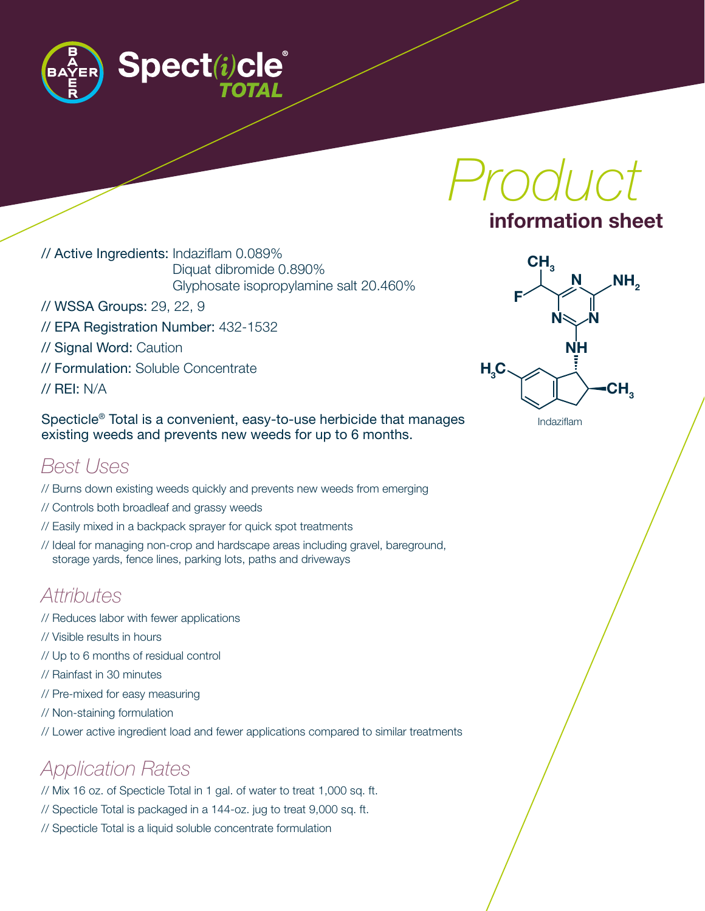

*Product*

#### information sheet

// Active Ingredients: Indaziflam 0.089% Diquat dibromide 0.890% Glyphosate isopropylamine salt 20.460%

- // WSSA Groups: 29, 22, 9
- // EPA Registration Number: 432-1532
- // Signal Word: Caution
- // Formulation: Soluble Concentrate
- // REI: N/A

Specticle® Total is a convenient, easy-to-use herbicide that manages existing weeds and prevents new weeds for up to 6 months.

#### *Best Uses*

- // Burns down existing weeds quickly and prevents new weeds from emerging
- // Controls both broadleaf and grassy weeds
- // Easily mixed in a backpack sprayer for quick spot treatments
- // Ideal for managing non-crop and hardscape areas including gravel, bareground, storage yards, fence lines, parking lots, paths and driveways

## *Attributes*

- // Reduces labor with fewer applications
- // Visible results in hours
- // Up to 6 months of residual control
- // Rainfast in 30 minutes
- // Pre-mixed for easy measuring
- // Non-staining formulation
- // Lower active ingredient load and fewer applications compared to similar treatments

## *Application Rates*

- // Mix 16 oz. of Specticle Total in 1 gal. of water to treat 1,000 sq. ft.
- // Specticle Total is packaged in a 144-oz. jug to treat 9,000 sq. ft.
- // Specticle Total is a liquid soluble concentrate formulation